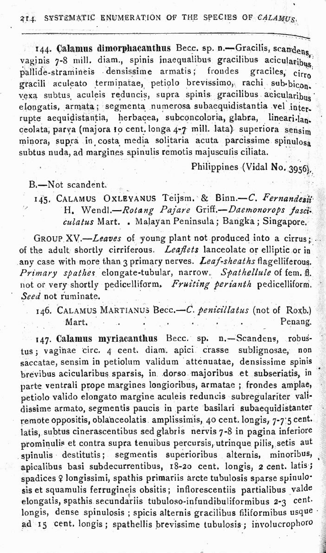## 214. SYSTEMATIC ENUMERATION OF THE SPECIES OF CALAMUS.

144. Calamus dimorphacanthus Becc. sp. n. - Gracilis, scandens, vaginis 7-8 mill. diam., spinis inaequalibus gracilibus acicularibus, pallide-stramineis densissime armatis; frondes graciles, cirro gracili aculeato terminatae, petiolo brevissimo, rachi sub-bicon. vexa subtus aculeis reduncis, supra spinis gracilibus acicularibus elongatis, armata; segmenta numerosa subaequidistantia vel interrupte aequidistantia, herbacea, subconcoloria, glabra, lineari-lan. ceolata, parva (majora 10 cent. longa 4-7 mill. lata) superiora sensim minora, supra in costa media solitaria acuta parcissime spinulosa subtus nuda, ad margines spinulis remotis majusculis ciliata.

Philippines (Vidal No. 3956).

B.-Not scandent.

145. CALAMUS OXLEYANUS Teijsm. & Binn.-C. Fernandesii H. Wendl.-Rotang Pajare Griff.-Daemonorops fasciculatus Mart. . Malayan Peninsula; Bangka; Singapore.

GROUP XV.-Leaves of young plant not produced into a cirrus; of the adult shortly cirriferous. Leaflets lanceolate or elliptic or in any case with more than 3 primary nerves. Leaf-sheaths flagelliferous. Primary spathes elongate-tubular, narrow. Spathellule of fem. fl. not or very shortly pedicelliform. Fruiting perianth pedicelliform. Seed not ruminate.

146. CALAMUS MARTIANUS Becc.-C. penicillatus (not of Roxb.) Mart. Penang.

147. Calamus myriacanthus Becc. sp. n. Scandens, robustus : vaginae circ. 4 cent. diam. apici. crasse sublignosae, non saccatae, sensim in petiolum validum attenuatae, densissime spinis brevibus acicularibus sparsis, in dorso majoribus et subseriatis, in parte ventrali prope margines longioribus, armatae ; frondes amplae, petiolo valido elongato margine aculeis reduncis subregulariter validissime armato, segmentis paucis in parte basilari subaequidistanter remote oppositis, oblanceolatis amplissimis, 40 cent. longis, 7-7.5 cent. latis, subtus cinerascentibus sed glabris nervis 7-8 in pagina inferiore prominulis et contra supra tenuibus percursis, utrinque pilis, setis aut spinulis destitutis; segmentis superioribus alternis, minoribus, apicalibus basi subdecurrentibus, 18-20 cent. longis, 2 cent. latis; spadices ? longissimi, spathis primariis arcte tubulosis sparse spinulosis et squamulis ferrugineis obsitis; inflorescentiis partialibus valde elongatis, spathis secundariis tubuloso-infundibuliformibus 2-3 cent. longis, dense spinulosis ; spicis alternis gracilibus filiformibus usque ad 15 cent. longis; spathellis brevissime tubulosis; involucrophoro